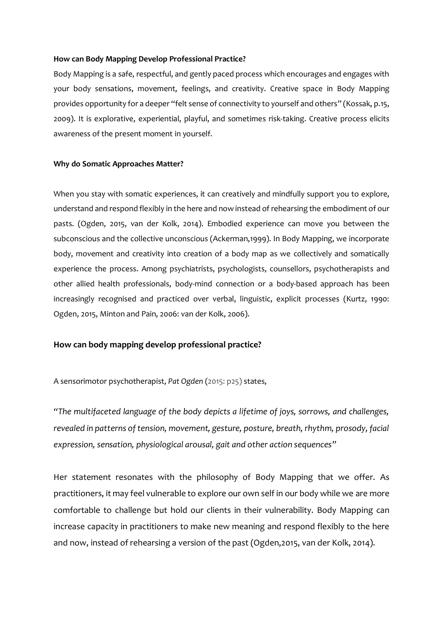#### **How can Body Mapping Develop Professional Practice?**

Body Mapping is a safe, respectful, and gently paced process which encourages and engages with your body sensations, movement, feelings, and creativity. Creative space in Body Mapping provides opportunity for a deeper "felt sense of connectivity to yourself and others" (Kossak, p.15, 2009). It is explorative, experiential, playful, and sometimes risk-taking. Creative process elicits awareness of the present moment in yourself.

## **Why do Somatic Approaches Matter?**

When you stay with somatic experiences, it can creatively and mindfully support you to explore, understand and respond flexibly in the here and now instead of rehearsing the embodiment of our pasts. (Ogden, 2015, van der Kolk, 2014). Embodied experience can move you between the subconscious and the collective unconscious (Ackerman,1999). In Body Mapping, we incorporate body, movement and creativity into creation of a body map as we collectively and somatically experience the process. Among psychiatrists, psychologists, counsellors, psychotherapists and other allied health professionals, body-mind connection or a body-based approach has been increasingly recognised and practiced over verbal, linguistic, explicit processes (Kurtz, 1990: Ogden, 2015, Minton and Pain, 2006: van der Kolk, 2006).

# **How can body mapping develop professional practice?**

A sensorimotor psychotherapist, *Pat Ogden* (2015: p25) states,

*"The multifaceted language of the body depicts a lifetime of joys, sorrows, and challenges, revealed in patterns of tension, movement, gesture, posture, breath, rhythm, prosody, facial expression, sensation, physiological arousal, gait and other action sequences"*

Her statement resonates with the philosophy of Body Mapping that we offer. As practitioners, it may feel vulnerable to explore our own self in our body while we are more comfortable to challenge but hold our clients in their vulnerability. Body Mapping can increase capacity in practitioners to make new meaning and respond flexibly to the here and now, instead of rehearsing a version of the past (Ogden,2015, van der Kolk, 2014).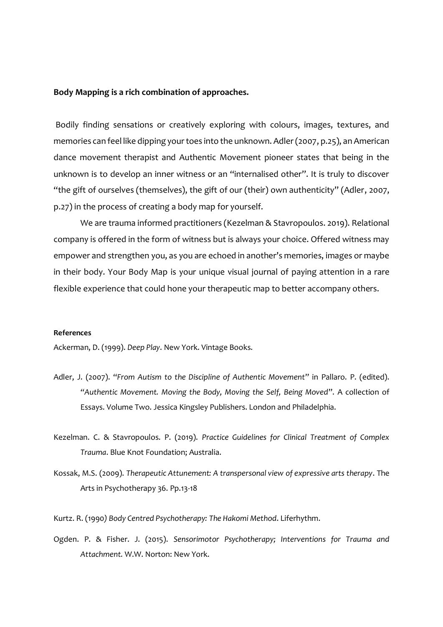### **Body Mapping is a rich combination of approaches.**

Bodily finding sensations or creatively exploring with colours, images, textures, and memories can feel like dipping your toes into the unknown. Adler (2007, p.25), an American dance movement therapist and Authentic Movement pioneer states that being in the unknown is to develop an inner witness or an "internalised other". It is truly to discover "the gift of ourselves (themselves), the gift of our (their) own authenticity" (Adler, 2007, p.27) in the process of creating a body map for yourself.

We are trauma informed practitioners (Kezelman & Stavropoulos. 2019). Relational company is offered in the form of witness but is always your choice. Offered witness may empower and strengthen you, as you are echoed in another's memories, images or maybe in their body. Your Body Map is your unique visual journal of paying attention in a rare flexible experience that could hone your therapeutic map to better accompany others.

#### **References**

Ackerman, D. (1999). *Deep Play*. New York. Vintage Books.

- Adler, J. (2007). "*From Autism to the Discipline of Authentic Movement*" in Pallaro. P. (edited). *"Authentic Movement. Moving the Body, Moving the Self, Being Moved*". A collection of Essays. Volume Two. Jessica Kingsley Publishers. London and Philadelphia.
- Kezelman. C. & Stavropoulos. P. (2019). *Practice Guidelines for Clinical Treatment of Complex Trauma*. Blue Knot Foundation; Australia.
- Kossak, M.S. (2009). *Therapeutic Attunement: A transpersonal view of expressive arts therapy*. The Arts in Psychotherapy 36. Pp.13-18
- Kurtz. R. (1990*) Body Centred Psychotherapy: The Hakomi Method*. Liferhythm.
- Ogden. P. & Fisher. J. (2015). *Sensorimotor Psychotherapy; Interventions for Trauma and Attachment.* W.W. Norton: New York.